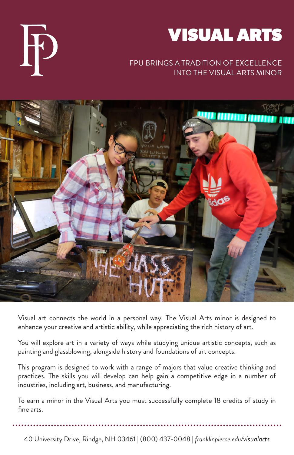

#### FPU BRINGS A TRADITION OF EXCELLENCE INTO THE VISUAL ARTS MINOR





Visual art connects the world in a personal way. The Visual Arts minor is designed to enhance your creative and artistic ability, while appreciating the rich history of art.

You will explore art in a variety of ways while studying unique artistic concepts, such as painting and glassblowing, alongside history and foundations of art concepts.

This program is designed to work with a range of majors that value creative thinking and practices. The skills you will develop can help gain a competitive edge in a number of industries, including art, business, and manufacturing.

To earn a minor in the Visual Arts you must successfully complete 18 credits of study in fine arts.

40 University Drive, Rindge, NH 03461 | (800) 437-0048 | *franklinpierce.edu/visualarts*